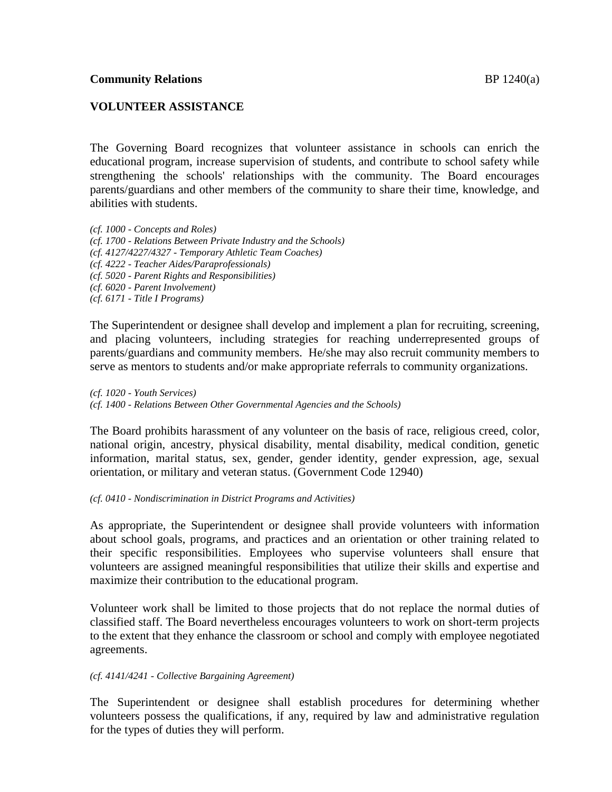## **VOLUNTEER ASSISTANCE**

The Governing Board recognizes that volunteer assistance in schools can enrich the educational program, increase supervision of students, and contribute to school safety while strengthening the schools' relationships with the community. The Board encourages parents/guardians and other members of the community to share their time, knowledge, and abilities with students.

*(cf. 1000 - Concepts and Roles) (cf. 1700 - Relations Between Private Industry and the Schools) (cf. 4127/4227/4327 - Temporary Athletic Team Coaches) (cf. 4222 - Teacher Aides/Paraprofessionals) (cf. 5020 - Parent Rights and Responsibilities) (cf. 6020 - Parent Involvement) (cf. 6171 - Title I Programs)*

The Superintendent or designee shall develop and implement a plan for recruiting, screening, and placing volunteers, including strategies for reaching underrepresented groups of parents/guardians and community members. He/she may also recruit community members to serve as mentors to students and/or make appropriate referrals to community organizations.

*(cf. 1020 - Youth Services) (cf. 1400 - Relations Between Other Governmental Agencies and the Schools)*

The Board prohibits harassment of any volunteer on the basis of race, religious creed, color, national origin, ancestry, physical disability, mental disability, medical condition, genetic information, marital status, sex, gender, gender identity, gender expression, age, sexual orientation, or military and veteran status. (Government Code 12940)

### *(cf. 0410 - Nondiscrimination in District Programs and Activities)*

As appropriate, the Superintendent or designee shall provide volunteers with information about school goals, programs, and practices and an orientation or other training related to their specific responsibilities. Employees who supervise volunteers shall ensure that volunteers are assigned meaningful responsibilities that utilize their skills and expertise and maximize their contribution to the educational program.

Volunteer work shall be limited to those projects that do not replace the normal duties of classified staff. The Board nevertheless encourages volunteers to work on short-term projects to the extent that they enhance the classroom or school and comply with employee negotiated agreements.

### *(cf. 4141/4241 - Collective Bargaining Agreement)*

The Superintendent or designee shall establish procedures for determining whether volunteers possess the qualifications, if any, required by law and administrative regulation for the types of duties they will perform.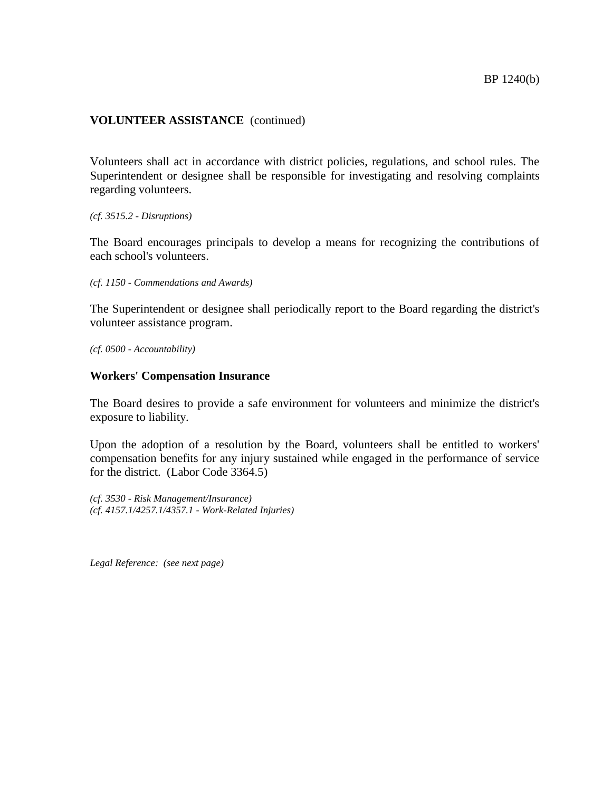Volunteers shall act in accordance with district policies, regulations, and school rules. The Superintendent or designee shall be responsible for investigating and resolving complaints regarding volunteers.

*(cf. 3515.2 - Disruptions)*

The Board encourages principals to develop a means for recognizing the contributions of each school's volunteers.

*(cf. 1150 - Commendations and Awards)*

The Superintendent or designee shall periodically report to the Board regarding the district's volunteer assistance program.

*(cf. 0500 - Accountability)*

#### **Workers' Compensation Insurance**

The Board desires to provide a safe environment for volunteers and minimize the district's exposure to liability.

Upon the adoption of a resolution by the Board, volunteers shall be entitled to workers' compensation benefits for any injury sustained while engaged in the performance of service for the district. (Labor Code 3364.5)

*(cf. 3530 - Risk Management/Insurance) (cf. 4157.1/4257.1/4357.1 - Work-Related Injuries)*

*Legal Reference: (see next page)*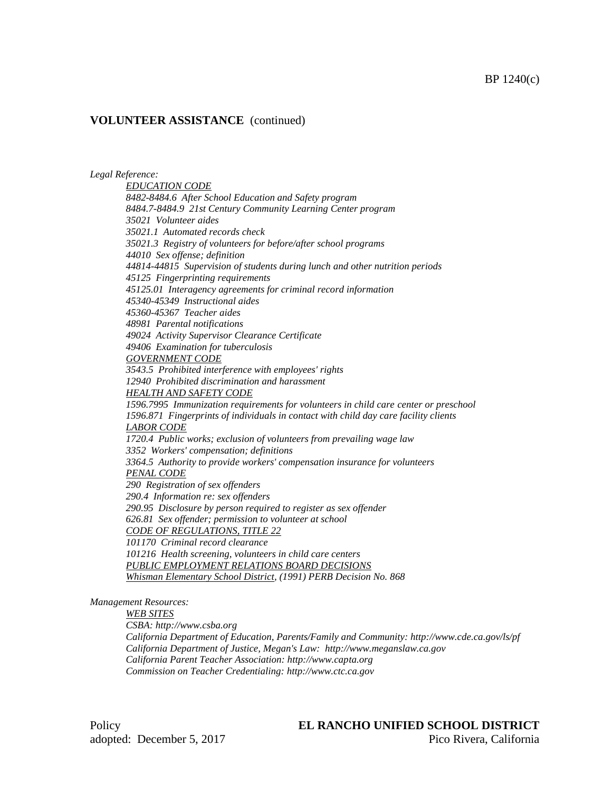*Legal Reference:*

*EDUCATION CODE 8482-8484.6 After School Education and Safety program 8484.7-8484.9 21st Century Community Learning Center program 35021 Volunteer aides 35021.1 Automated records check 35021.3 Registry of volunteers for before/after school programs 44010 Sex offense; definition 44814-44815 Supervision of students during lunch and other nutrition periods 45125 Fingerprinting requirements 45125.01 Interagency agreements for criminal record information 45340-45349 Instructional aides 45360-45367 Teacher aides 48981 Parental notifications 49024 Activity Supervisor Clearance Certificate 49406 Examination for tuberculosis GOVERNMENT CODE 3543.5 Prohibited interference with employees' rights 12940 Prohibited discrimination and harassment HEALTH AND SAFETY CODE 1596.7995 Immunization requirements for volunteers in child care center or preschool 1596.871 Fingerprints of individuals in contact with child day care facility clients LABOR CODE 1720.4 Public works; exclusion of volunteers from prevailing wage law 3352 Workers' compensation; definitions 3364.5 Authority to provide workers' compensation insurance for volunteers PENAL CODE 290 Registration of sex offenders 290.4 Information re: sex offenders 290.95 Disclosure by person required to register as sex offender 626.81 Sex offender; permission to volunteer at school CODE OF REGULATIONS, TITLE 22 101170 Criminal record clearance 101216 Health screening, volunteers in child care centers PUBLIC EMPLOYMENT RELATIONS BOARD DECISIONS Whisman Elementary School District, (1991) PERB Decision No. 868*

*Management Resources:*

*WEB SITES*

*CSBA: http://www.csba.org*

*California Department of Education, Parents/Family and Community: http://www.cde.ca.gov/ls/pf California Department of Justice, Megan's Law: http://www.meganslaw.ca.gov California Parent Teacher Association: http://www.capta.org Commission on Teacher Credentialing: http://www.ctc.ca.gov*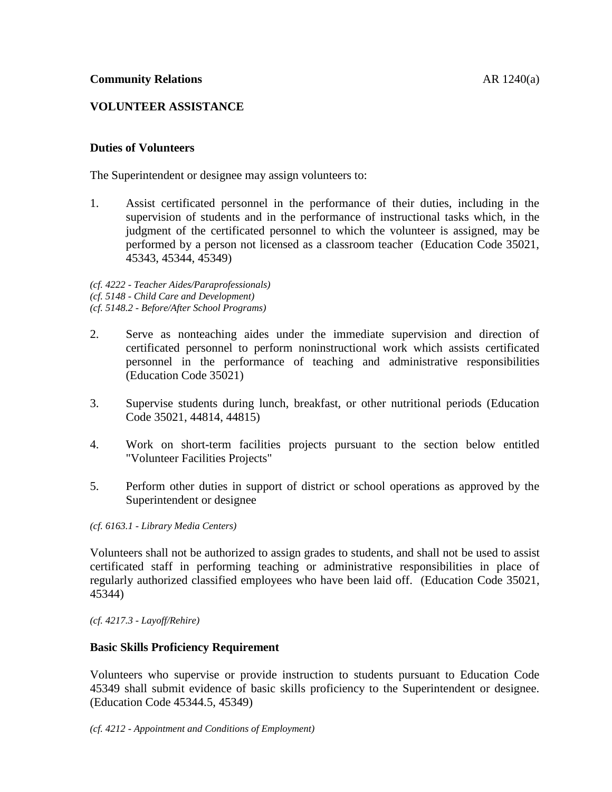# **VOLUNTEER ASSISTANCE**

## **Duties of Volunteers**

The Superintendent or designee may assign volunteers to:

1. Assist certificated personnel in the performance of their duties, including in the supervision of students and in the performance of instructional tasks which, in the judgment of the certificated personnel to which the volunteer is assigned, may be performed by a person not licensed as a classroom teacher (Education Code 35021, 45343, 45344, 45349)

*(cf. 4222 - Teacher Aides/Paraprofessionals) (cf. 5148 - Child Care and Development) (cf. 5148.2 - Before/After School Programs)*

- 2. Serve as nonteaching aides under the immediate supervision and direction of certificated personnel to perform noninstructional work which assists certificated personnel in the performance of teaching and administrative responsibilities (Education Code 35021)
- 3. Supervise students during lunch, breakfast, or other nutritional periods (Education Code 35021, 44814, 44815)
- 4. Work on short-term facilities projects pursuant to the section below entitled "Volunteer Facilities Projects"
- 5. Perform other duties in support of district or school operations as approved by the Superintendent or designee

*(cf. 6163.1 - Library Media Centers)*

Volunteers shall not be authorized to assign grades to students, and shall not be used to assist certificated staff in performing teaching or administrative responsibilities in place of regularly authorized classified employees who have been laid off. (Education Code 35021, 45344)

*(cf. 4217.3 - Layoff/Rehire)*

### **Basic Skills Proficiency Requirement**

Volunteers who supervise or provide instruction to students pursuant to Education Code 45349 shall submit evidence of basic skills proficiency to the Superintendent or designee. (Education Code 45344.5, 45349)

*(cf. 4212 - Appointment and Conditions of Employment)*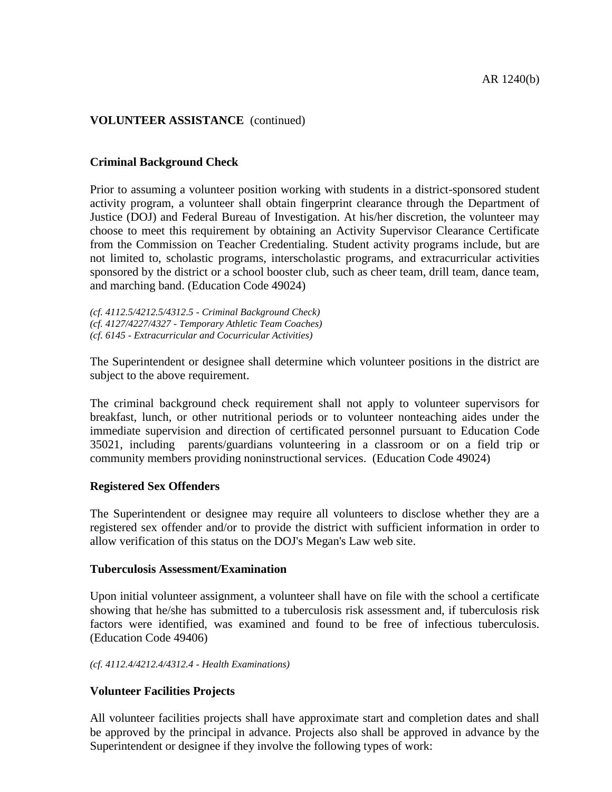### **Criminal Background Check**

Prior to assuming a volunteer position working with students in a district-sponsored student activity program, a volunteer shall obtain fingerprint clearance through the Department of Justice (DOJ) and Federal Bureau of Investigation. At his/her discretion, the volunteer may choose to meet this requirement by obtaining an Activity Supervisor Clearance Certificate from the Commission on Teacher Credentialing. Student activity programs include, but are not limited to, scholastic programs, interscholastic programs, and extracurricular activities sponsored by the district or a school booster club, such as cheer team, drill team, dance team, and marching band. (Education Code 49024)

*(cf. 4112.5/4212.5/4312.5 - Criminal Background Check) (cf. 4127/4227/4327 - Temporary Athletic Team Coaches) (cf. 6145 - Extracurricular and Cocurricular Activities)*

The Superintendent or designee shall determine which volunteer positions in the district are subject to the above requirement.

The criminal background check requirement shall not apply to volunteer supervisors for breakfast, lunch, or other nutritional periods or to volunteer nonteaching aides under the immediate supervision and direction of certificated personnel pursuant to Education Code 35021, including parents/guardians volunteering in a classroom or on a field trip or community members providing noninstructional services. (Education Code 49024)

### **Registered Sex Offenders**

The Superintendent or designee may require all volunteers to disclose whether they are a registered sex offender and/or to provide the district with sufficient information in order to allow verification of this status on the DOJ's Megan's Law web site.

### **Tuberculosis Assessment/Examination**

Upon initial volunteer assignment, a volunteer shall have on file with the school a certificate showing that he/she has submitted to a tuberculosis risk assessment and, if tuberculosis risk factors were identified, was examined and found to be free of infectious tuberculosis. (Education Code 49406)

#### *(cf. 4112.4/4212.4/4312.4 - Health Examinations)*

### **Volunteer Facilities Projects**

All volunteer facilities projects shall have approximate start and completion dates and shall be approved by the principal in advance. Projects also shall be approved in advance by the Superintendent or designee if they involve the following types of work: